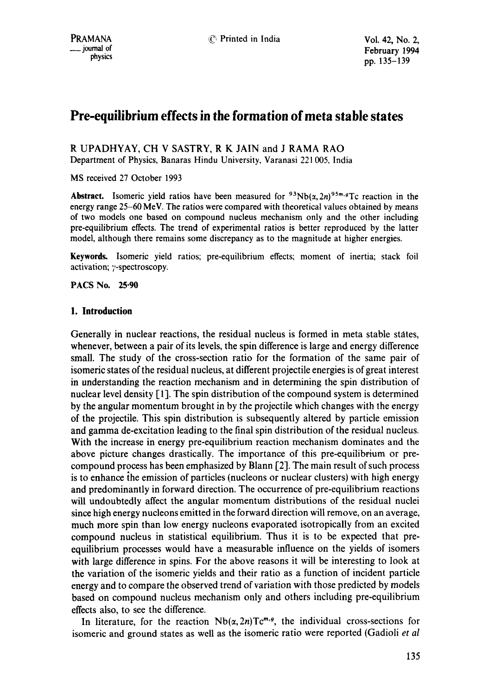# **Pre-equilibrium effects in the formation of meta stable states**

R UPADHYAY, CH V SASTRY, R K JAIN and J RAMA RAO Department of Physics, Banaras Hindu University, Varanasi 221 005, India

MS received 27 October 1993

**Abstract.** Isomeric yield ratios have been measured for  $9.3 \text{Nb}(x, 2n)$ <sup>95m, g</sup>Tc reaction in the energy range 25-60 MeV. The ratios were compared with theoretical values obtained by means of two models one based on compound nucleus mechanism only and the other including pre-equilibrium effects. The trend of experimental ratios is better reproduced by the latter model, although there remains some discrepancy as to the magnitude at higher energies.

**Keywords.** Isomeric yield ratios; pre-equilibrium effects; moment of inertia; stack foil activation; y-spectroscopy.

**PACS No. 25.90** 

## **1. Introduction**

Generally in nuclear reactions, the residual nucleus is formed in meta stable states, whenever, between a pair of its levels, the spin difference is large and energy difference small. The study of the cross-section ratio for the formation of the same pair of isomeric states of the residual nucleus, at different projectile energies is of great interest in understanding the reaction mechanism and in determining the spin distribution of nuclear level density [1]. The spin distribution of the compound system is determined by the angular momentum brought in by the projectile which changes with the energy of the projectile. This spin distribution is subsequently altered by particle emission and gamma de-excitation leading to the final spin distribution of the residual nucleus. With the increase in energy pre-equilibrium reaction mechanism dominates and the above picture changes drastically. The importance of this pre-equilibrium or precompound process has been emphasized by Blann [2]. The main result of such process is to enhance the emission of particles (nucleons or nuclear clusters) with high energy and predominantly in forward direction. The occurrence of pre-equilibrium reactions will undoubtedly affect the angular momentum distributions of the residual nuclei since high energy nucleons emitted in the forward direction will remove, on an average, much more spin than low energy nucleons evaporated isotropically from an excited compound nucleus in statistical equilibrium. Thus it is to be expected that preequilibrium processes would have a measurable influence on the yields of isomers with large difference in spins. For the above reasons it will be interesting to look at the variation of the isomeric yields and their ratio as a function of incident particle energy and to compare the observed trend of variation with those predicted by models based on compound nucleus mechanism only and others including pre-equilibrium effects also, to see the difference.

In literature, for the reaction  $Nb(\alpha,2n)Tc^{m,q}$ , the individual cross-sections for isomeric and ground states as well as the isomeric ratio were reported (Gadioli *et al*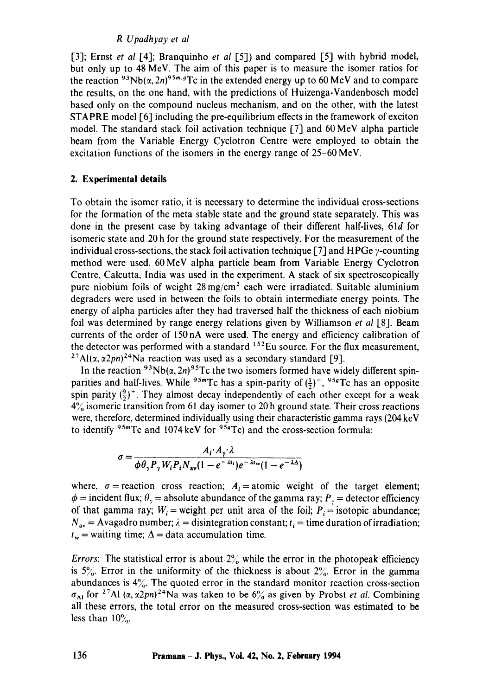## *R Upadhyay et al*

[3]; Ernst *et al* [4]; Branquinho *et al* [5]) and compared [5] with hybrid model, but only up to 48 MeV. The aim of this paper is to measure the isomer ratios for the reaction <sup>93</sup>Nb( $\alpha$ , 2n)<sup>95m, q</sup>Tc in the extended energy up to 60 MeV and to compare the results, on the one hand, with the predictions of Huizenga-Vandenbosch model based only on the compound nucleus mechanism, and on the other, with the latest STAPRE model [6] including the pre-equilibrium effects in the framework of exciton model. The standard stack foil activation technique [7] and 60 MeV alpha particle beam from the Variable Energy Cyclotron Centre were employed to obtain the excitation functions of the isomers in the energy range of 25-60 MeV.

## **2. Experimental details**

To obtain the isomer ratio, it is necessary to determine the individual cross-sections for the formation of the meta stable state and the ground state separately. This was done in the present case by taking advantage of their different half-lives, 61d for isomeric state and 20 h for the ground state respectively. For the measurement of the individual cross-sections, the stack foil activation technique [7] and HPGe  $\gamma$ -counting method were used, 60 MeV alpha particle .beam from Variable Energy Cyclotron Centre, Calcutta, India was used in the experiment. A stack of six spectroscopically pure niobium foils of weight  $28 \text{ mg/cm}^2$  each were irradiated. Suitable aluminium degraders were used in between the foils to obtain intermediate energy points. The energy of alpha particles after they had traversed half the thickness of each niobium foil was determined by range energy relations given by Williamson *et al* [8]. Beam currents of the order of 150nA were used. The energy and efficiency calibration of the detector was performed with a standard  $152$ Eu source. For the flux measurement, <sup>27</sup>Al( $\alpha$ ,  $\alpha$ 2*pn*)<sup>24</sup>Na reaction was used as a secondary standard [9].

In the reaction <sup>93</sup>Nb( $\alpha$ , 2n)<sup>95</sup>Tc the two isomers formed have widely different spinparities and half-lives. While <sup>95</sup><sup>m</sup>Tc has a spin-parity of  $(\frac{1}{2})^{\text{-}}$ , <sup>95*g*</sup>Tc has an opposite spin parity  $(\frac{9}{2})^+$ . They almost decay independently of each other except for a weak  $4\%$  isomeric transition from 61 day isomer to 20 h ground state. Their cross reactions were, therefore, determined individually using their characteristic gamma rays (204 keV to identify  $95m$ Tc and 1074 keV for  $95g$ Tc) and the cross-section formula:

$$
\sigma = \frac{A_i \cdot A_{\gamma} \cdot \lambda}{\phi \theta_{\gamma} P_{\gamma} W_i P_i N_{\rm av} (1 - e^{-\lambda t_i}) e^{-\lambda t_{\rm w}} (1 - e^{-\lambda \Delta})}
$$

where,  $\sigma$  = reaction cross reaction;  $A_i$  = atomic weight of the target element;  $\phi$  = incident flux;  $\theta$ <sub>y</sub> = absolute abundance of the gamma ray;  $P_y$  = detector efficiency of that gamma ray;  $W_i$  = weight per unit area of the foil;  $P_i$  = isotopic abundance;  $N_{av}$  = Avagadro number;  $\lambda$  = disintegration constant;  $t_i$  = time duration of irradiation;  $t_{\rm w}$  = waiting time;  $\Delta$  = data accumulation time.

*Errors*: The statistical error is about  $2\%$  while the error in the photopeak efficiency is  $5\%$ . Error in the uniformity of the thickness is about  $2\%$ . Error in the gamma abundances is  $4\%$ . The quoted error in the standard monitor reaction cross-section  $\sigma_{A1}$  for <sup>27</sup>AI  $(\alpha, \alpha2pn)^{24}$ Na was taken to be  $6\%$  as given by Probst *et al.* Combining all these errors, the total error on the measured cross-section was estimated to be less than  $10\%$ .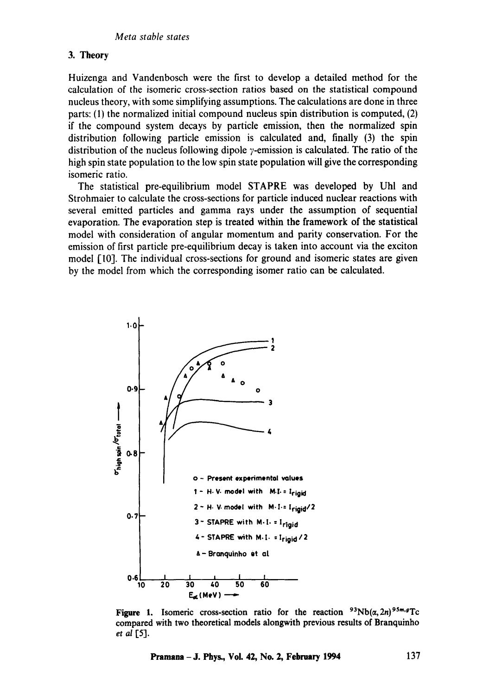## 3. Theory

Huizenga and Vandenbosch were the first to develop a detailed method for the calculation of the isomeric cross-section ratios based on the statistical compound nucleus theory, with some simplifying assumptions. The calculations are done in three parts: (1) the normalized initial compound nucleus spin distribution is computed, (2) if the compound system decays by particle emission, then the normalized spin distribution following particle emission is calculated and, finally (3) the spin distribution of the nucleus following dipole  $\gamma$ -emission is calculated. The ratio of the high spin state population to the low spin state population will give the corresponding isomeric ratio.

The statistical pre-equilibrium model STAPRE was developed by Uhl and Strohmaier to calculate the cross-sections for particle induced nuclear reactions with several emitted particles and gamma rays under the assumption of sequential evaporation. The evaporation step is treated within the framework of the statistical model with consideration of angular momentum and parity conservation. For the emission of first particle pre-equilibrium decay is taken into account via the exciton model [10]. The individual cross-sections for ground and isomeric states are given by the model from which the corresponding isomer ratio can be calculated.



**Figure 1.** Isomeric cross-section ratio for the reaction  $93Nb(\alpha, 2n)^{95m}$ compared with two **theoretical models** alongwith previous results of Branquinho *et at* [5].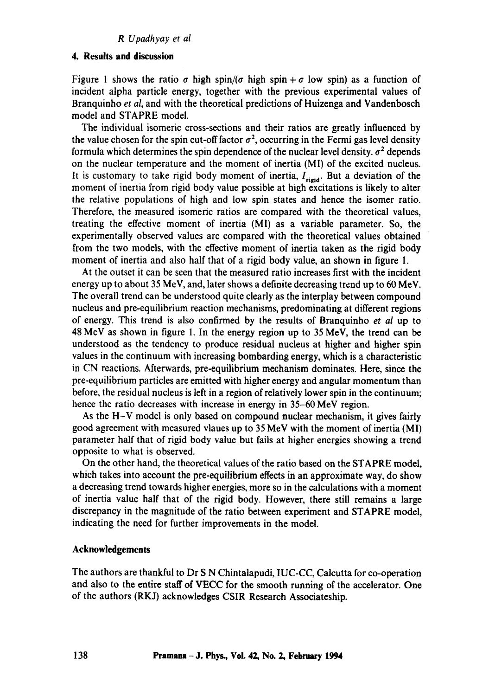#### *R Upadhyay et al*

## **4. Results and discussion**

Figure 1 shows the ratio  $\sigma$  high spin/( $\sigma$  high spin +  $\sigma$  low spin) as a function of incident alpha particle energy, together with the previous experimental values of Branquinho *et al,* and with the theoretical predictions of Huizenga and Vandenbosch model and STAPRE model.

The individual isomeric cross-sections and their ratios are greatly influenced by the value chosen for the spin cut-off factor  $\sigma^2$ , occurring in the Fermi gas level density formula which determines the spin dependence of the nuclear level density.  $\sigma^2$  depends on the nuclear temperature and the moment of inertia (MI) of the excited nucleus. It is customary to take rigid body moment of inertia,  $I_{\text{rigid}}$ . But a deviation of the moment of inertia from rigid body value possible at high excitations is likely to alter the relative populations of high and low spin states and hence the isomer ratio. Therefore, the measured isomeric ratios are compared with the theoretical values, treating the effective moment of inertia (MI) as a variable parameter. So, the experimentally observed values are compared with the theoretical values obtained from the two models, with the effective moment of inertia taken as the rigid body moment of inertia and also half that of a rigid body value, an shown in figure 1.

At the outset it can be seen that the measured ratio increases first with the incident energy up to about 35 MeV, and, later shows a definite decreasing trend up to 60 MeV. The overall trend can be understood quite clearly as the interplay between compound nucleus and pre-equilibrium reaction mechanisms, predominating at different regions of energy. This trend is also confirmed by the results of Branquinho *et al* up to 48 MeV as shown in figure 1. In the energy region up to 35 MeV, the trend can be understood as the tendency to produce residual nucleus at higher and higher spin values in the continuum with increasing bombarding energy, which is a characteristic in CN reactions. Afterwards, pre-equilibrium mechanism dominates. Here, since the pre-equi!ibrium particles are emitted with higher energy and angular momentum than before, the residual nucleus is left in a region of relatively lower spin in the continuum; hence the ratio decreases with increase in energy in 35-60 MeV region.

As the H-V model is only based on compound nuclear mechanism, it gives fairly good agreement with measured vlaues up to 35 MeV with the moment of inertia (MI) parameter half that of rigid body value but fails at higher energies showing a trend opposite to what is observed.

On the other hand, the theoretical values of the ratio based on the STAPRE model, which takes into account the pre-equilibrium effects in an approximate way, do show a decreasing trend towards higher energies, more so in the calculations with a moment of inertia value half that of the rigid body. However, there still remains a large discrepancy in the magnitude of the ratio between experiment and STAPRE model, indicating the need for further improvements in the model.

#### **Acknowledgements**

The authors are thankful to Dr S N Chintalapudi, IUC-CC, Calcutta for co-operation and also to the entire staff of VECC for the smooth running of the accelerator. One of the authors (RKJ) acknowledges CSIR Research Associateship.